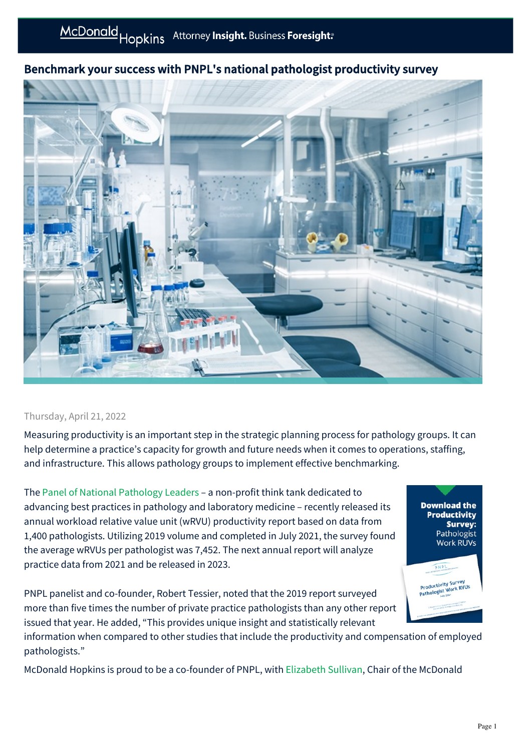## Benchmark your success with PNPL's national pathologist productivity survey



## Thursday, April 21, 2022

Measuring productivity is an important step in the strategic planning process for pathology groups. It can help determine a practice's capacity for growth and future needs when it comes to operations, staffing, and infrastructure. This allows pathology groups to implement effective benchmarking.

The [Panel of National Pathology Leaders](https://pathleaders.org/) – a non-profit think tank dedicated to advancing best practices in pathology and laboratory medicine – recently released its annual workload relative value unit (wRVU) productivity report based on data from 1,400 pathologists. Utilizing 2019 volume and completed in July 2021, the survey found the average wRVUs per pathologist was 7,452. The next annual report will analyze practice data from 2021 and be released in 2023.

PNPL panelist and co-founder, Robert Tessier, noted that the 2019 report surveyed more than five times the number of private practice pathologists than any other report issued that year. He added, "This provides unique insight and statistically relevant

information when compared to other studies that include the productivity and compensation of employed pathologists."

McDonald Hopkins is proud to be a co-founder of PNPL, with [Elizabeth Sullivan](https://mcdonaldhopkins.com/Team/Attorney/e/Elizabeth-Sullivan), Chair of the McDonald

**Download the Productivity Survey:** Pathologist Work RUVs

**DNP** Productivity Survey Productivity Survey<br>Pathologist Work RVUs